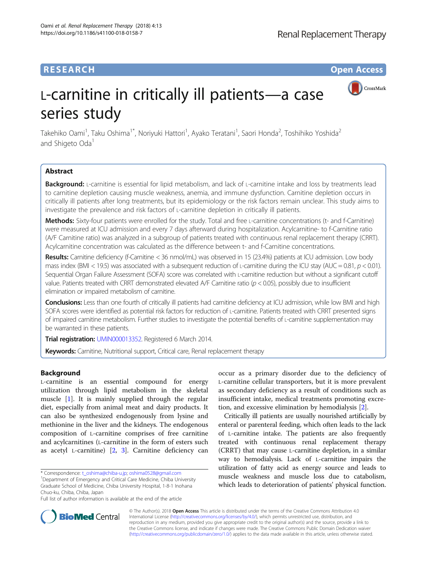## **RESEARCH CHE Open Access**



# L-carnitine in critically ill patients—a case series study

Takehiko Oami<sup>1</sup>, Taku Oshima<sup>1\*</sup>, Noriyuki Hattori<sup>1</sup>, Ayako Teratani<sup>1</sup>, Saori Honda<sup>2</sup>, Toshihiko Yoshida<sup>2</sup> and Shigeto Oda<sup>1</sup>

## Abstract

Background: L-carnitine is essential for lipid metabolism, and lack of L-carnitine intake and loss by treatments lead to carnitine depletion causing muscle weakness, anemia, and immune dysfunction. Carnitine depletion occurs in critically ill patients after long treatments, but its epidemiology or the risk factors remain unclear. This study aims to investigate the prevalence and risk factors of L-carnitine depletion in critically ill patients.

Methods: Sixty-four patients were enrolled for the study. Total and free L-carnitine concentrations (t- and f-Carnitine) were measured at ICU admission and every 7 days afterward during hospitalization. Acylcarnitine- to f-Carnitine ratio (A/F Carnitine ratio) was analyzed in a subgroup of patients treated with continuous renal replacement therapy (CRRT). Acylcarnitine concentration was calculated as the difference between t- and f-Carnitine concentrations.

Results: Carnitine deficiency (f-Carnitine < 36 nmol/mL) was observed in 15 (23.4%) patients at ICU admission. Low body mass index (BMI < 19.5) was associated with a subsequent reduction of L-carnitine during the ICU stay (AUC = 0.81,  $p$  < 0.01). Sequential Organ Failure Assessment (SOFA) score was correlated with L-carnitine reduction but without a significant cutoff value. Patients treated with CRRT demonstrated elevated A/F Carnitine ratio ( $p < 0.05$ ), possibly due to insufficient elimination or impaired metabolism of carnitine.

Conclusions: Less than one fourth of critically ill patients had carnitine deficiency at ICU admission, while low BMI and high SOFA scores were identified as potential risk factors for reduction of L-carnitine. Patients treated with CRRT presented signs of impaired carnitine metabolism. Further studies to investigate the potential benefits of L-carnitine supplementation may be warranted in these patients.

Trial registration: [UMIN000013352](https://upload.umin.ac.jp/cgi-open-bin/ctr_e/ctr_view.cgi?recptno=R000015457). Registered 6 March 2014.

Keywords: Carnitine, Nutritional support, Critical care, Renal replacement therapy

## Background

L-carnitine is an essential compound for energy utilization through lipid metabolism in the skeletal muscle [[1\]](#page-6-0). It is mainly supplied through the regular diet, especially from animal meat and dairy products. It can also be synthesized endogenously from lysine and methionine in the liver and the kidneys. The endogenous composition of L-carnitine comprises of free carnitine and acylcarnitines (L-carnitine in the form of esters such as acetyl L-carnitine) [\[2](#page-6-0), [3](#page-6-0)]. Carnitine deficiency can occur as a primary disorder due to the deficiency of L-carnitine cellular transporters, but it is more prevalent as secondary deficiency as a result of conditions such as insufficient intake, medical treatments promoting excretion, and excessive elimination by hemodialysis [[2\]](#page-6-0).

Critically ill patients are usually nourished artificially by enteral or parenteral feeding, which often leads to the lack of L-carnitine intake. The patients are also frequently treated with continuous renal replacement therapy (CRRT) that may cause L-carnitine depletion, in a similar way to hemodialysis. Lack of L-carnitine impairs the utilization of fatty acid as energy source and leads to muscle weakness and muscle loss due to catabolism, which leads to deterioration of patients' physical function.



© The Author(s). 2018 Open Access This article is distributed under the terms of the Creative Commons Attribution 4.0 International License [\(http://creativecommons.org/licenses/by/4.0/](http://creativecommons.org/licenses/by/4.0/)), which permits unrestricted use, distribution, and reproduction in any medium, provided you give appropriate credit to the original author(s) and the source, provide a link to the Creative Commons license, and indicate if changes were made. The Creative Commons Public Domain Dedication waiver [\(http://creativecommons.org/publicdomain/zero/1.0/](http://creativecommons.org/publicdomain/zero/1.0/)) applies to the data made available in this article, unless otherwise stated.

<sup>\*</sup> Correspondence: [t\\_oshima@chiba-u.jp;](mailto:t_oshima@chiba-u.jp) [oshima0528@gmail.com](mailto:oshima0528@gmail.com) <sup>1</sup>

<sup>&</sup>lt;sup>1</sup>Department of Emergency and Critical Care Medicine, Chiba University Graduate School of Medicine, Chiba University Hospital, 1-8-1 Inohana Chuo-ku, Chiba, Chiba, Japan

Full list of author information is available at the end of the article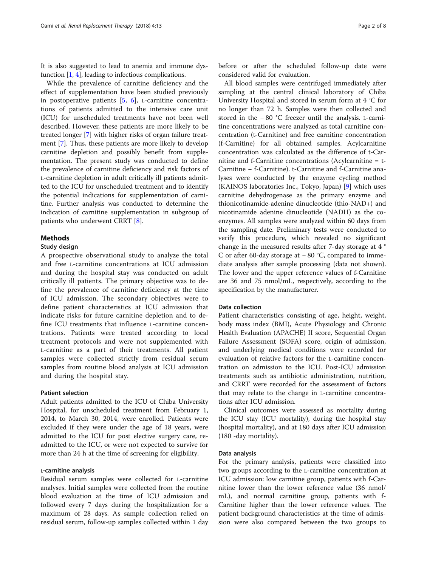It is also suggested to lead to anemia and immune dysfunction [\[1,](#page-6-0) [4](#page-6-0)], leading to infectious complications.

While the prevalence of carnitine deficiency and the effect of supplementation have been studied previously in postoperative patients [\[5](#page-6-0), [6](#page-6-0)], L-carnitine concentrations of patients admitted to the intensive care unit (ICU) for unscheduled treatments have not been well described. However, these patients are more likely to be treated longer [[7\]](#page-6-0) with higher risks of organ failure treatment [\[7](#page-6-0)]. Thus, these patients are more likely to develop carnitine depletion and possibly benefit from supplementation. The present study was conducted to define the prevalence of carnitine deficiency and risk factors of L-carnitine depletion in adult critically ill patients admitted to the ICU for unscheduled treatment and to identify the potential indications for supplementation of carnitine. Further analysis was conducted to determine the indication of carnitine supplementation in subgroup of patients who underwent CRRT [\[8\]](#page-6-0).

## Methods

## Study design

A prospective observational study to analyze the total and free L-carnitine concentrations at ICU admission and during the hospital stay was conducted on adult critically ill patients. The primary objective was to define the prevalence of carnitine deficiency at the time of ICU admission. The secondary objectives were to define patient characteristics at ICU admission that indicate risks for future carnitine depletion and to define ICU treatments that influence L-carnitine concentrations. Patients were treated according to local treatment protocols and were not supplemented with L-carnitine as a part of their treatments. All patient samples were collected strictly from residual serum samples from routine blood analysis at ICU admission and during the hospital stay.

#### Patient selection

Adult patients admitted to the ICU of Chiba University Hospital, for unscheduled treatment from February 1, 2014, to March 30, 2014, were enrolled. Patients were excluded if they were under the age of 18 years, were admitted to the ICU for post elective surgery care, readmitted to the ICU, or were not expected to survive for more than 24 h at the time of screening for eligibility.

#### L-carnitine analysis

Residual serum samples were collected for L-carnitine analyses. Initial samples were collected from the routine blood evaluation at the time of ICU admission and followed every 7 days during the hospitalization for a maximum of 28 days. As sample collection relied on residual serum, follow-up samples collected within 1 day

before or after the scheduled follow-up date were considered valid for evaluation.

All blood samples were centrifuged immediately after sampling at the central clinical laboratory of Chiba University Hospital and stored in serum form at 4 °C for no longer than 72 h. Samples were then collected and stored in the − 80 °C freezer until the analysis. L-carnitine concentrations were analyzed as total carnitine concentration (t-Carnitine) and free carnitine concentration (f-Carnitine) for all obtained samples. Acylcarnitine concentration was calculated as the difference of t-Carnitine and f-Carnitine concentrations (Acylcarnitine = t-Carnitine − f-Carnitine). t-Carnitine and f-Carnitine analyses were conducted by the enzyme cycling method (KAINOS laboratories Inc., Tokyo, Japan) [[9](#page-7-0)] which uses carnitine dehydrogenase as the primary enzyme and thionicotinamide-adenine dinucleotide (thio-NAD+) and nicotinamide adenine dinucleotide (NADH) as the coenzymes. All samples were analyzed within 60 days from the sampling date. Preliminary tests were conducted to verify this procedure, which revealed no significant change in the measured results after 7-day storage at 4 ° C or after 60-day storage at − 80 °C, compared to immediate analysis after sample processing (data not shown). The lower and the upper reference values of f-Carnitine are 36 and 75 nmol/mL, respectively, according to the specification by the manufacturer.

## Data collection

Patient characteristics consisting of age, height, weight, body mass index (BMI), Acute Physiology and Chronic Health Evaluation (APACHE) II score, Sequential Organ Failure Assessment (SOFA) score, origin of admission, and underlying medical conditions were recorded for evaluation of relative factors for the L-carnitine concentration on admission to the ICU. Post-ICU admission treatments such as antibiotic administration, nutrition, and CRRT were recorded for the assessment of factors that may relate to the change in L-carnitine concentrations after ICU admission.

Clinical outcomes were assessed as mortality during the ICU stay (ICU mortality), during the hospital stay (hospital mortality), and at 180 days after ICU admission (180 -day mortality).

#### Data analysis

For the primary analysis, patients were classified into two groups according to the L-carnitine concentration at ICU admission: low carnitine group, patients with f-Carnitine lower than the lower reference value (36 nmol/ mL), and normal carnitine group, patients with f-Carnitine higher than the lower reference values. The patient background characteristics at the time of admission were also compared between the two groups to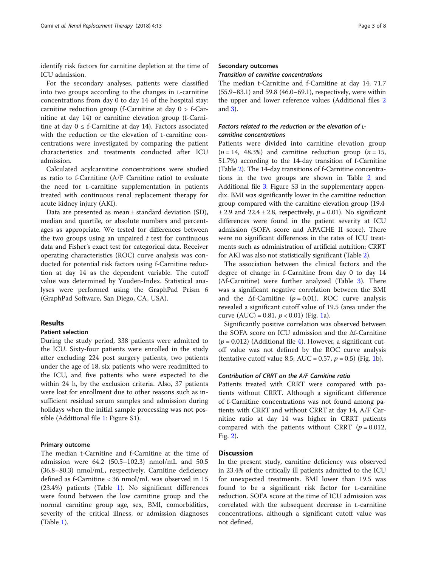identify risk factors for carnitine depletion at the time of ICU admission.

For the secondary analyses, patients were classified into two groups according to the changes in L-carnitine concentrations from day 0 to day 14 of the hospital stay: carnitine reduction group (f-Carnitine at day 0 > f-Carnitine at day 14) or carnitine elevation group (f-Carnitine at day  $0 \leq f$ -Carnitine at day 14). Factors associated with the reduction or the elevation of L-carnitine concentrations were investigated by comparing the patient characteristics and treatments conducted after ICU admission.

Calculated acylcarnitine concentrations were studied as ratio to f-Carnitine (A/F Carnitine ratio) to evaluate the need for L-carnitine supplementation in patients treated with continuous renal replacement therapy for acute kidney injury (AKI).

Data are presented as mean ± standard deviation (SD), median and quartile, or absolute numbers and percentages as appropriate. We tested for differences between the two groups using an unpaired  $t$  test for continuous data and Fisher's exact test for categorical data. Receiver operating characteristics (ROC) curve analysis was conducted for potential risk factors using f-Carnitine reduction at day 14 as the dependent variable. The cutoff value was determined by Youden-Index. Statistical analyses were performed using the GraphPad Prism 6 (GraphPad Software, San Diego, CA, USA).

## Results

#### Patient selection

During the study period, 338 patients were admitted to the ICU. Sixty-four patients were enrolled in the study after excluding 224 post surgery patients, two patients under the age of 18, six patients who were readmitted to the ICU, and five patients who were expected to die within 24 h, by the exclusion criteria. Also, 37 patients were lost for enrollment due to other reasons such as insufficient residual serum samples and admission during holidays when the initial sample processing was not possible (Additional file [1:](#page-6-0) Figure S1).

#### Primary outcome

The median t-Carnitine and f-Carnitine at the time of admission were 64.2 (50.5–102.3) nmol/mL and 50.5 (36.8–80.3) nmol/mL, respectively. Carnitine deficiency defined as f-Carnitine < 36 nmol/mL was observed in 15 (23.4%) patients (Table [1](#page-3-0)). No significant differences were found between the low carnitine group and the normal carnitine group age, sex, BMI, comorbidities, severity of the critical illness, or admission diagnoses (Table [1](#page-3-0)).

## Secondary outcomes

#### Transition of carnitine concentrations

The median t-Carnitine and f-Carnitine at day 14, 71.7 (55.9–83.1) and 59.8 (46.0–69.1), respectively, were within the upper and lower reference values (Additional files [2](#page-6-0) and [3\)](#page-6-0).

## Factors related to the reduction or the elevation of Lcarnitine concentrations

Patients were divided into carnitine elevation group  $(n = 14, 48.3%)$  and carnitine reduction group  $(n = 15,$ 51.7%) according to the 14-day transition of f-Carnitine (Table [2](#page-4-0)). The 14-day transitions of f-Carnitine concentrations in the two groups are shown in Table [2](#page-4-0) and Additional file [3](#page-6-0): Figure S3 in the supplementary appendix. BMI was significantly lower in the carnitine reduction group compared with the carnitine elevation group (19.4  $\pm$  2.9 and 22.4  $\pm$  2.8, respectively,  $p = 0.01$ ). No significant differences were found in the patient severity at ICU admission (SOFA score and APACHE II score). There were no significant differences in the rates of ICU treatments such as administration of artificial nutrition; CRRT for AKI was also not statistically significant (Table [2\)](#page-4-0).

The association between the clinical factors and the degree of change in f-Carnitine from day 0 to day 14 (Δf-Carnitine) were further analyzed (Table [3](#page-4-0)). There was a significant negative correlation between the BMI and the  $\Delta f$ -Carnitine ( $p = 0.01$ ). ROC curve analysis revealed a significant cutoff value of 19.5 (area under the curve  $(AUC) = 0.81, p < 0.01$  (Fig. [1a](#page-5-0)).

Significantly positive correlation was observed between the SOFA score on ICU admission and the Δf-Carnitine  $(p = 0.012)$  (Additional file [4](#page-6-0)). However, a significant cutoff value was not defined by the ROC curve analysis (tentative cutoff value 8.5; AUC =  $0.57$ ,  $p = 0.5$ ) (Fig. [1b](#page-5-0)).

## Contribution of CRRT on the A/F Carnitine ratio

Patients treated with CRRT were compared with patients without CRRT. Although a significant difference of f-Carnitine concentrations was not found among patients with CRRT and without CRRT at day 14, A/F Carnitine ratio at day 14 was higher in CRRT patients compared with the patients without CRRT ( $p = 0.012$ , Fig. [2](#page-5-0)).

## **Discussion**

In the present study, carnitine deficiency was observed in 23.4% of the critically ill patients admitted to the ICU for unexpected treatments. BMI lower than 19.5 was found to be a significant risk factor for L-carnitine reduction. SOFA score at the time of ICU admission was correlated with the subsequent decrease in L-carnitine concentrations, although a significant cutoff value was not defined.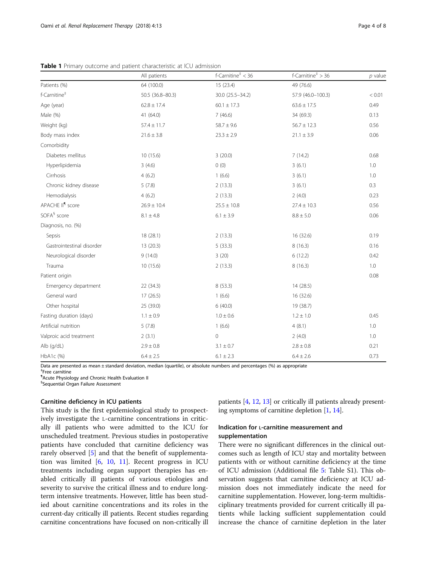|                              | All patients     | $f$ -Carnitine $\frac{4}{3}$ < 36 | $f$ -Carnitine $\stackrel{+}{\rightarrow}$ 36 | $p$ value |
|------------------------------|------------------|-----------------------------------|-----------------------------------------------|-----------|
| Patients (%)                 | 64 (100.0)       | 15 (23.4)                         | 49 (76.6)                                     |           |
| f-Carnitine <sup>#</sup>     | 50.5 (36.8-80.3) | 30.0 (25.5-34.2)                  | 57.9 (46.0-100.3)                             | < 0.01    |
| Age (year)                   | $62.8 \pm 17.4$  | $60.1 \pm 17.3$                   | $63.6 \pm 17.5$                               | 0.49      |
| Male (%)                     | 41 (64.0)        | 7(46.6)                           | 34 (69.3)                                     | 0.13      |
| Weight (kg)                  | $57.4 \pm 11.7$  | $58.7 \pm 9.6$                    | $56.7 \pm 12.3$                               | 0.56      |
| Body mass index              | $21.6 \pm 3.8$   | $23.3 \pm 2.9$                    | $21.1 \pm 3.9$                                | 0.06      |
| Comorbidity                  |                  |                                   |                                               |           |
| Diabetes mellitus            | 10(15.6)         | 3(20.0)                           | 7(14.2)                                       | 0.68      |
| Hyperlipidemia               | 3(4.6)           | 0(0)                              | 3(6.1)                                        | 1.0       |
| Cirrhosis                    | 4(6.2)           | 1(6.6)                            | 3(6.1)                                        | 1.0       |
| Chronic kidney disease       | 5(7.8)           | 2(13.3)                           | 3(6.1)                                        | 0.3       |
| Hemodialysis                 | 4(6.2)           | 2(13.3)                           | 2(4.0)                                        | 0.23      |
| APACHE II <sup>1</sup> score | $26.9 \pm 10.4$  | $25.5 \pm 10.8$                   | $27.4 \pm 10.3$                               | 0.56      |
| SOFA <sup>§</sup> score      | $8.1 \pm 4.8$    | $6.1 \pm 3.9$                     | $8.8 \pm 5.0$                                 | 0.06      |
| Diagnosis, no. (%)           |                  |                                   |                                               |           |
| Sepsis                       | 18 (28.1)        | 2(13.3)                           | 16 (32.6)                                     | 0.19      |
| Gastrointestinal disorder    | 13 (20.3)        | 5(33.3)                           | 8(16.3)                                       | 0.16      |
| Neurological disorder        | 9(14.0)          | 3(20)                             | 6(12.2)                                       | 0.42      |
| Trauma                       | 10(15.6)         | 2(13.3)                           | 8(16.3)                                       | 1.0       |
| Patient origin               |                  |                                   |                                               | 0.08      |
| Emergency department         | 22 (34.3)        | 8(53.3)                           | 14(28.5)                                      |           |
| General ward                 | 17(26.5)         | 1(6.6)                            | 16 (32.6)                                     |           |
| Other hospital               | 25 (39.0)        | 6(40.0)                           | 19 (38.7)                                     |           |
| Fasting duration (days)      | $1.1 \pm 0.9$    | $1.0 \pm 0.6$                     | $1.2 \pm 1.0$                                 | 0.45      |
| Artificial nutrition         | 5(7.8)           | 1(6.6)                            | 4(8.1)                                        | 1.0       |
| Valproic acid treatment      | 2(3.1)           | $\mathsf{O}\xspace$               | 2(4.0)                                        | 1.0       |
| Alb (g/dL)                   | $2.9 \pm 0.8$    | $3.1 \pm 0.7$                     | $2.8 \pm 0.8$                                 | 0.21      |
| HbA1c (%)                    | $6.4 \pm 2.5$    | $6.1 \pm 2.3$                     | $6.4 \pm 2.6$                                 | 0.73      |

<span id="page-3-0"></span>Table 1 Primary outcome and patient characteristic at ICU admission

Data are presented as mean ± standard deviation, median (quartile), or absolute numbers and percentages (%) as appropriate

‡ Free carnitine

¶ Acute Physiology and Chronic Health Evaluation II

§ Sequential Organ Failure Assessment

## Carnitine deficiency in ICU patients

This study is the first epidemiological study to prospectively investigate the L-carnitine concentrations in critically ill patients who were admitted to the ICU for unscheduled treatment. Previous studies in postoperative patients have concluded that carnitine deficiency was rarely observed [\[5](#page-6-0)] and that the benefit of supplementation was limited  $[6, 10, 11]$  $[6, 10, 11]$  $[6, 10, 11]$  $[6, 10, 11]$  $[6, 10, 11]$ . Recent progress in ICU treatments including organ support therapies has enabled critically ill patients of various etiologies and severity to survive the critical illness and to endure longterm intensive treatments. However, little has been studied about carnitine concentrations and its roles in the current-day critically ill patients. Recent studies regarding carnitine concentrations have focused on non-critically ill patients [\[4,](#page-6-0) [12](#page-7-0), [13\]](#page-7-0) or critically ill patients already presenting symptoms of carnitine depletion [[1,](#page-6-0) [14\]](#page-7-0).

## Indication for L-carnitine measurement and supplementation

There were no significant differences in the clinical outcomes such as length of ICU stay and mortality between patients with or without carnitine deficiency at the time of ICU admission (Additional file [5:](#page-6-0) Table S1). This observation suggests that carnitine deficiency at ICU admission does not immediately indicate the need for carnitine supplementation. However, long-term multidisciplinary treatments provided for current critically ill patients while lacking sufficient supplementation could increase the chance of carnitine depletion in the later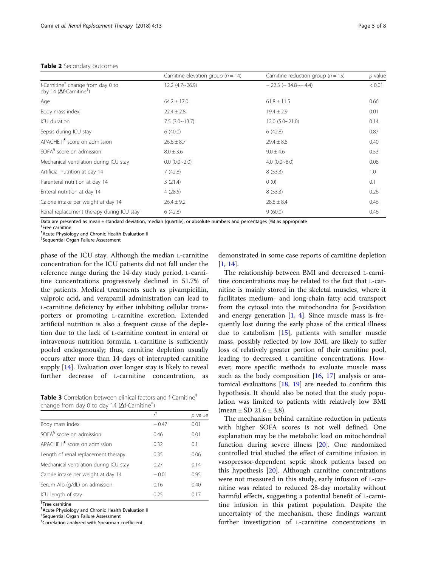<span id="page-4-0"></span>

|                                                                                                | Carnitine elevation group ( $n = 14$ ) | Carnitine reduction group ( $n = 15$ ) | $p$ value |  |  |
|------------------------------------------------------------------------------------------------|----------------------------------------|----------------------------------------|-----------|--|--|
| f-Carnitine <sup>#</sup> change from day 0 to<br>day 14 ( $\Delta f$ -Carnitine <sup>‡</sup> ) | 12.2(4.7~26.9)                         | $-22.3$ ( $-34.8$ $\sim$ $-4.4$ )      | < 0.01    |  |  |
| Age                                                                                            | $64.2 \pm 17.0$                        | $61.8 \pm 11.5$                        | 0.66      |  |  |
| Body mass index                                                                                | $22.4 \pm 2.8$                         | $19.4 \pm 2.9$                         | 0.01      |  |  |
| ICU duration                                                                                   | 7.5(3.0~13.7)                          | $12.0 (5.0 \times 21.0)$               | 0.14      |  |  |
| Sepsis during ICU stay                                                                         | 6(40.0)                                | 6(42.8)                                | 0.87      |  |  |
| APACHE II <sup>1</sup> score on admission                                                      | $26.6 \pm 8.7$                         | $29.4 \pm 8.8$                         | 0.40      |  |  |
| SOFA <sup>5</sup> score on admission                                                           | $8.0 \pm 3.6$                          | $9.0 \pm 4.6$                          | 0.53      |  |  |
| Mechanical ventilation during ICU stay                                                         | $0.0 (0.0 - 2.0)$                      | $4.0(0.0-8.0)$                         | 0.08      |  |  |
| Artificial nutrition at day 14                                                                 | 7(42.8)                                | 8(53.3)                                | 1.0       |  |  |
| Parenteral nutrition at day 14                                                                 | 3(21.4)                                | 0(0)                                   | 0.1       |  |  |
| Enteral nutrition at day 14                                                                    | 4(28.5)                                | 8(53.3)                                | 0.26      |  |  |
| Calorie intake per weight at day 14                                                            | $26.4 \pm 9.2$                         | $28.8 \pm 8.4$                         | 0.46      |  |  |
| Renal replacement therapy during ICU stay                                                      | 6(42.8)                                | 9(60.0)                                | 0.46      |  |  |
|                                                                                                |                                        |                                        |           |  |  |

Data are presented as mean  $\pm$  standard deviation, median (quartile), or absolute numbers and percentages (%) as appropriate

‡ Free carnitine

¶ Acute Physiology and Chronic Health Evaluation II

§ Sequential Organ Failure Assessment

phase of the ICU stay. Although the median L-carnitine concentration for the ICU patients did not fall under the reference range during the 14-day study period, L-carnitine concentrations progressively declined in 51.7% of the patients. Medical treatments such as pivampicillin, valproic acid, and verapamil administration can lead to L-carnitine deficiency by either inhibiting cellular transporters or promoting L-carnitine excretion. Extended artificial nutrition is also a frequent cause of the depletion due to the lack of L-carnitine content in enteral or intravenous nutrition formula. L-carnitine is sufficiently pooled endogenously; thus, carnitine depletion usually occurs after more than 14 days of interrupted carnitine supply [\[14](#page-7-0)]. Evaluation over longer stay is likely to reveal further decrease of L-carnitine concentration, as

Table 3 Correlation between clinical factors and f-Carnitine<sup>‡</sup> change from day 0 to day 14 ( $\Delta$ f-Carnitine<sup>‡</sup>)

|                                           | $r^{\dagger}$ | p value |
|-------------------------------------------|---------------|---------|
| Body mass index                           | $-0.47$       | 0.01    |
| SOEA <sup>§</sup> score on admission      | 0.46          | 0.01    |
| APACHE II <sup>1</sup> score on admission | 0.32          | 0.1     |
| Length of renal replacement therapy       | 0.35          | 0.06    |
| Mechanical ventilation during ICU stay    | 0.27          | 0.14    |
| Calorie intake per weight at day 14       | $-0.01$       | 0.95    |
| Serum Alb (g/dL) on admission             | 0.16          | 0.40    |
| ICU length of stay                        | 0.25          | 0.17    |

‡ Free carnitine

¶ Acute Physiology and Chronic Health Evaluation II

§ Sequential Organ Failure Assessment

† Correlation analyzed with Spearman coefficient

demonstrated in some case reports of carnitine depletion [[1,](#page-6-0) [14\]](#page-7-0).

The relationship between BMI and decreased L-carnitine concentrations may be related to the fact that L-carnitine is mainly stored in the skeletal muscles, where it facilitates medium- and long-chain fatty acid transport from the cytosol into the mitochondria for β-oxidation and energy generation  $[1, 4]$  $[1, 4]$  $[1, 4]$  $[1, 4]$ . Since muscle mass is frequently lost during the early phase of the critical illness due to catabolism [\[15\]](#page-7-0), patients with smaller muscle mass, possibly reflected by low BMI, are likely to suffer loss of relatively greater portion of their carnitine pool, leading to decreased L-carnitine concentrations. However, more specific methods to evaluate muscle mass such as the body composition  $[16, 17]$  $[16, 17]$  $[16, 17]$  $[16, 17]$  analysis or anatomical evaluations  $[18, 19]$  $[18, 19]$  $[18, 19]$  $[18, 19]$  are needed to confirm this hypothesis. It should also be noted that the study population was limited to patients with relatively low BMI  $(mean \pm SD 21.6 \pm 3.8).$ 

The mechanism behind carnitine reduction in patients with higher SOFA scores is not well defined. One explanation may be the metabolic load on mitochondrial function during severe illness [[20\]](#page-7-0). One randomized controlled trial studied the effect of carnitine infusion in vasopressor-dependent septic shock patients based on this hypothesis [[20\]](#page-7-0). Although carnitine concentrations were not measured in this study, early infusion of L-carnitine was related to reduced 28-day mortality without harmful effects, suggesting a potential benefit of L-carnitine infusion in this patient population. Despite the uncertainty of the mechanism, these findings warrant further investigation of L-carnitine concentrations in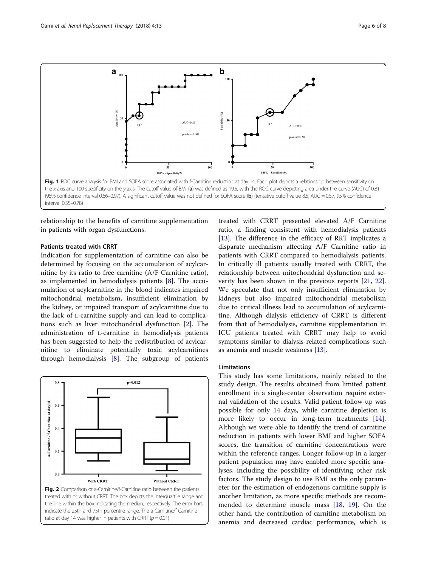<span id="page-5-0"></span>

relationship to the benefits of carnitine supplementation in patients with organ dysfunctions.

#### Patients treated with CRRT

Indication for supplementation of carnitine can also be determined by focusing on the accumulation of acylcarnitine by its ratio to free carnitine (A/F Carnitine ratio), as implemented in hemodialysis patients [\[8](#page-6-0)]. The accumulation of acylcarnitine in the blood indicates impaired mitochondrial metabolism, insufficient elimination by the kidney, or impaired transport of acylcarnitine due to the lack of L-carnitine supply and can lead to complications such as liver mitochondrial dysfunction [\[2](#page-6-0)]. The administration of L-carnitine in hemodialysis patients has been suggested to help the redistribution of acylcarnitine to eliminate potentially toxic acylcarnitines through hemodialysis [\[8](#page-6-0)]. The subgroup of patients



ratio at day 14 was higher in patients with CRRT ( $p = 0.01$ )

ratio, a finding consistent with hemodialysis patients [[13\]](#page-7-0). The difference in the efficacy of RRT implicates a disparate mechanism affecting A/F Carnitine ratio in patients with CRRT compared to hemodialysis patients. In critically ill patients usually treated with CRRT, the relationship between mitochondrial dysfunction and severity has been shown in the previous reports [\[21](#page-7-0), [22](#page-7-0)]. We speculate that not only insufficient elimination by kidneys but also impaired mitochondrial metabolism due to critical illness lead to accumulation of acylcarnitine. Although dialysis efficiency of CRRT is different from that of hemodialysis, carnitine supplementation in ICU patients treated with CRRT may help to avoid symptoms similar to dialysis-related complications such as anemia and muscle weakness [[13\]](#page-7-0).

treated with CRRT presented elevated A/F Carnitine

#### Limitations

This study has some limitations, mainly related to the study design. The results obtained from limited patient enrollment in a single-center observation require external validation of the results. Valid patient follow-up was possible for only 14 days, while carnitine depletion is more likely to occur in long-term treatments [\[14](#page-7-0)]. Although we were able to identify the trend of carnitine reduction in patients with lower BMI and higher SOFA scores, the transition of carnitine concentrations were within the reference ranges. Longer follow-up in a larger patient population may have enabled more specific analyses, including the possibility of identifying other risk factors. The study design to use BMI as the only parameter for the estimation of endogenous carnitine supply is another limitation, as more specific methods are recommended to determine muscle mass [\[18,](#page-7-0) [19\]](#page-7-0). On the other hand, the contribution of carnitine metabolism on anemia and decreased cardiac performance, which is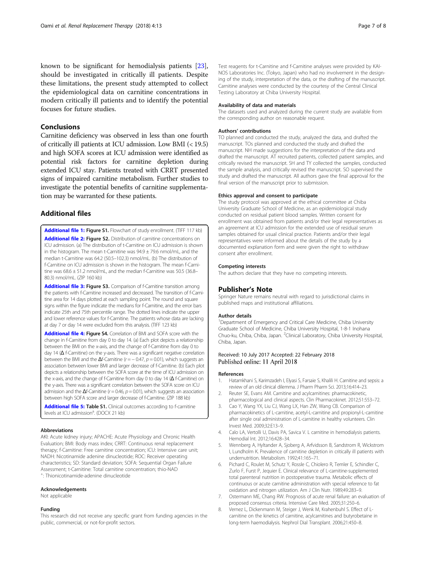<span id="page-6-0"></span>known to be significant for hemodialysis patients [\[23](#page-7-0)], should be investigated in critically ill patients. Despite these limitations, the present study attempted to collect the epidemiological data on carnitine concentrations in modern critically ill patients and to identify the potential focuses for future studies.

## Conclusions

Carnitine deficiency was observed in less than one fourth of critically ill patients at ICU admission. Low BMI (< 19.5) and high SOFA scores at ICU admission were identified as potential risk factors for carnitine depletion during extended ICU stay. Patients treated with CRRT presented signs of impaired carnitine metabolism. Further studies to investigate the potential benefits of carnitine supplementation may be warranted for these patients.

## Additional files

[Additional file 1:](https://doi.org/10.1186/s41100-018-0158-7) Figure S1. Flowchart of study enrollment. (TIFF 117 kb) [Additional file 2:](https://doi.org/10.1186/s41100-018-0158-7) Figure S2. Distribution of carnitine concentrations on ICU admission. (a) The distribution of t-Carnitine on ICU admission is shown in the histogram. The mean t-Carnitine was 94.9 ± 79.6 nmol/mL, and the median t-Carnitine was 64.2 (50.5–102.3) nmol/mL. (b) The distribution of f-Carnitine on ICU admission is shown in the histogram. The mean f-Carnitine was  $68.6 \pm 51.2$  nmol/mL, and the median f-Carnitine was 50.5 (36.8– 80.3) nmol/mL. (ZIP 160 kb)

[Additional file 3:](https://doi.org/10.1186/s41100-018-0158-7) Figure S3. Comparison of f-Carnitine transition among the patients with f-Carnitine increased and decreased. The transition of f-Carnitine area for 14 days plotted at each sampling point. The round and square signs within the figure indicate the medians for f-Carnitine, and the error bars indicate 25th and 75th percentile range. The dotted lines indicate the upper and lower reference values for f-Carnitine. The patients whose data are lacking at day 7 or day 14 were excluded from this analysis. (TIFF 123 kb)

[Additional file 4:](https://doi.org/10.1186/s41100-018-0158-7) Figure S4. Correlation of BMI and SOFA score with the change in f-Carnitine from day 0 to day 14. (a) Each plot depicts a relationship between the BMI on the x-axis, and the change of f-Carnitine from day 0 to day 14 (Δ f-Carnitine) on the y-axis. There was a significant negative correlation between the BMI and the  $\Delta f$ -Carnitine ( $r = -0.47$ ,  $p = 0.01$ ), which suggests an association between lower BMI and larger decrease of f-Carnitine. (b) Each plot depicts a relationship between the SOFA score at the time of ICU admission on the x-axis, and the change of f-Carnitine from day 0 to day 14 (Δ f-Carnitine) on the y-axis. There was a significant correlation between the SOFA score on ICU admission and the  $\Delta f$ -Carnitine ( $r = 0.46$ ,  $p = 0.01$ ), which suggests an association between high SOFA score and larger decrease of f-Carnitine. (ZIP 188 kb)

[Additional file 5:](https://doi.org/10.1186/s41100-018-0158-7) Table S1. Clinical outcomes according to f-carnitine levels at ICU admission<sup>a</sup>. (DOCX 21 kb)

#### Abbreviations

AKI: Acute kidney injury; APACHE: Acute Physiology and Chronic Health Evaluation; BMI: Body mass index; CRRT: Continuous renal replacement therapy; f-Carnitine: Free carnitine concentration; ICU: Intensive care unit; NADH: Nicotinamide adenine dinucleotide; ROC: Receiver operating characteristics; SD: Standard deviation; SOFA: Sequential Organ Failure Assessment; t-Carnitine: Total carnitine concentration; thio-NAD + : Thionicotinamide-adenine dinucleotide

#### Acknowledgements

Not applicable

#### Funding

This research did not receive any specific grant from funding agencies in the public, commercial, or not-for-profit sectors.

Test reagents for t-Carnitine and f-Carnitine analyses were provided by KAI-NOS Laboratories Inc. (Tokyo, Japan) who had no involvement in the designing of the study, interpretation of the data, or the drafting of the manuscript. Carnitine analyses were conducted by the courtesy of the Central Clinical Testing Laboratory at Chiba University Hospital.

#### Availability of data and materials

The datasets used and analyzed during the current study are available from the corresponding author on reasonable request.

#### Authors' contributions

TO planned and conducted the study, analyzed the data, and drafted the manuscript. TOs planned and conducted the study and drafted the manuscript. NH made suggestions for the interpretation of the data and drafted the manuscript. AT recruited patients, collected patient samples, and critically revised the manuscript. SH and TY collected the samples, conducted the sample analysis, and critically revised the manuscript. SO supervised the study and drafted the manuscript. All authors gave the final approval for the final version of the manuscript prior to submission.

#### Ethics approval and consent to participate

The study protocol was approved at the ethical committee at Chiba University Graduate School of Medicine, as an epidemiological study conducted on residual patient blood samples. Written consent for enrollment was obtained from patients and/or their legal representatives as an agreement at ICU admission for the extended use of residual serum samples obtained for usual clinical practice. Patients and/or their legal representatives were informed about the details of the study by a documented explanation form and were given the right to withdraw consent after enrollment.

#### Competing interests

The authors declare that they have no competing interests.

#### Publisher's Note

Springer Nature remains neutral with regard to jurisdictional claims in published maps and institutional affiliations.

#### Author details

<sup>1</sup>Department of Emergency and Critical Care Medicine, Chiba University Graduate School of Medicine, Chiba University Hospital, 1-8-1 Inohana Chuo-ku, Chiba, Chiba, Japan. <sup>2</sup>Clinical Laboratory, Chiba University Hospital Chiba, Japan.

#### Received: 10 July 2017 Accepted: 22 February 2018 Published online: 11 April 2018

#### References

- 1. Hatamkhani S, Karimzadeh I, Elyasi S, Farsaie S, Khalili H. Carnitine and sepsis: a review of an old clinical dilemma. J Pharm Pharm Sci. 2013;16:414–23.
- 2. Reuter SE, Evans AM. Carnitine and acylcarnitines: pharmacokinetic, pharmacological and clinical aspects. Clin Pharmacokinet. 2012;51:553–72.
- 3. Cao Y, Wang YX, Liu CJ, Wang LX, Han ZW, Wang CB. Comparison of pharmacokinetics of L-carnitine, acetyl-L-carnitine and propionyl-L-carnitine after single oral administration of L-carnitine in healthy volunteers. Clin Invest Med. 2009;32:E13–9.
- 4. Calo LA, Vertolli U, Davis PA, Savica V. L carnitine in hemodialysis patients. Hemodial Int. 2012;16:428–34.
- 5. Wennberg A, Hyltander A, Sjoberg A, Arfvidsson B, Sandstrom R, Wickstrom I, Lundholm K. Prevalence of carnitine depletion in critically ill patients with undernutrition. Metabolism. 1992;41:165–71.
- Pichard C, Roulet M, Schutz Y, Rossle C, Chiolero R, Temler E, Schindler C, Zurlo F, Furst P, Jequier E. Clinical relevance of L-carnitine-supplemented total parenteral nutrition in postoperative trauma. Metabolic effects of continuous or acute carnitine administration with special reference to fat oxidation and nitrogen utilization. Am J Clin Nutr. 1989;49:283–9.
- 7. Ostermann ME, Chang RW. Prognosis of acute renal failure: an evaluation of proposed consensus criteria. Intensive Care Med. 2005;31:250–6.
- 8. Vernez L, Dickenmann M, Steiger J, Wenk M, Krahenbuhl S. Effect of Lcarnitine on the kinetics of carnitine, acylcarnitines and butyrobetaine in long-term haemodialysis. Nephrol Dial Transplant. 2006;21:450–8.